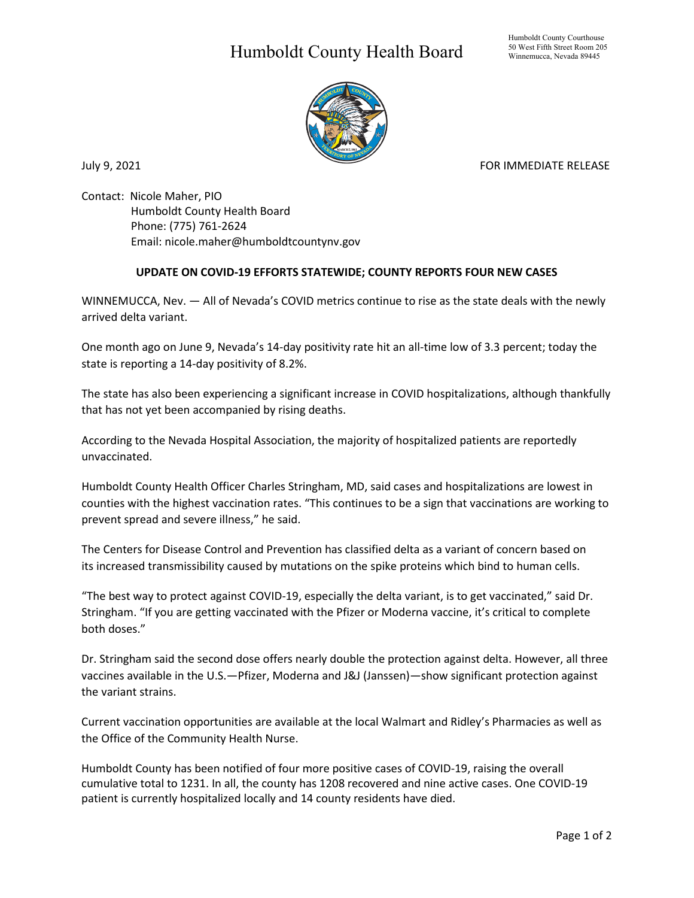## Humboldt County Health Board



July 9, 2021 **FOR IMMEDIATE RELEASE** 

Contact: Nicole Maher, PIO Humboldt County Health Board Phone: (775) 761-2624 Email: nicole.maher@humboldtcountynv.gov

## **UPDATE ON COVID-19 EFFORTS STATEWIDE; COUNTY REPORTS FOUR NEW CASES**

WINNEMUCCA, Nev. — All of Nevada's COVID metrics continue to rise as the state deals with the newly arrived delta variant.

One month ago on June 9, Nevada's 14-day positivity rate hit an all-time low of 3.3 percent; today the state is reporting a 14-day positivity of 8.2%. 

The state has also been experiencing a significant increase in COVID hospitalizations, although thankfully that has not yet been accompanied by rising deaths.

According to the Nevada Hospital Association, the majority of hospitalized patients are reportedly unvaccinated.

Humboldt County Health Officer Charles Stringham, MD, said cases and hospitalizations are lowest in counties with the highest vaccination rates. "This continues to be a sign that vaccinations are working to prevent spread and severe illness," he said.

The Centers for Disease Control and Prevention has classified delta as a variant of concern based on its increased transmissibility caused by mutations on the spike proteins which bind to human cells. 

"The best way to protect against COVID-19, especially the delta variant, is to get vaccinated," said Dr. Stringham. "If you are getting vaccinated with the Pfizer or Moderna vaccine, it's critical to complete both doses."

Dr. Stringham said the second dose offers nearly double the protection against delta. However, all three vaccines available in the U.S.—Pfizer, Moderna and J&J (Janssen)—show significant protection against the variant strains.

Current vaccination opportunities are available at the local Walmart and Ridley's Pharmacies as well as the Office of the Community Health Nurse.

Humboldt County has been notified of four more positive cases of COVID-19, raising the overall cumulative total to 1231. In all, the county has 1208 recovered and nine active cases. One COVID-19 patient is currently hospitalized locally and 14 county residents have died.